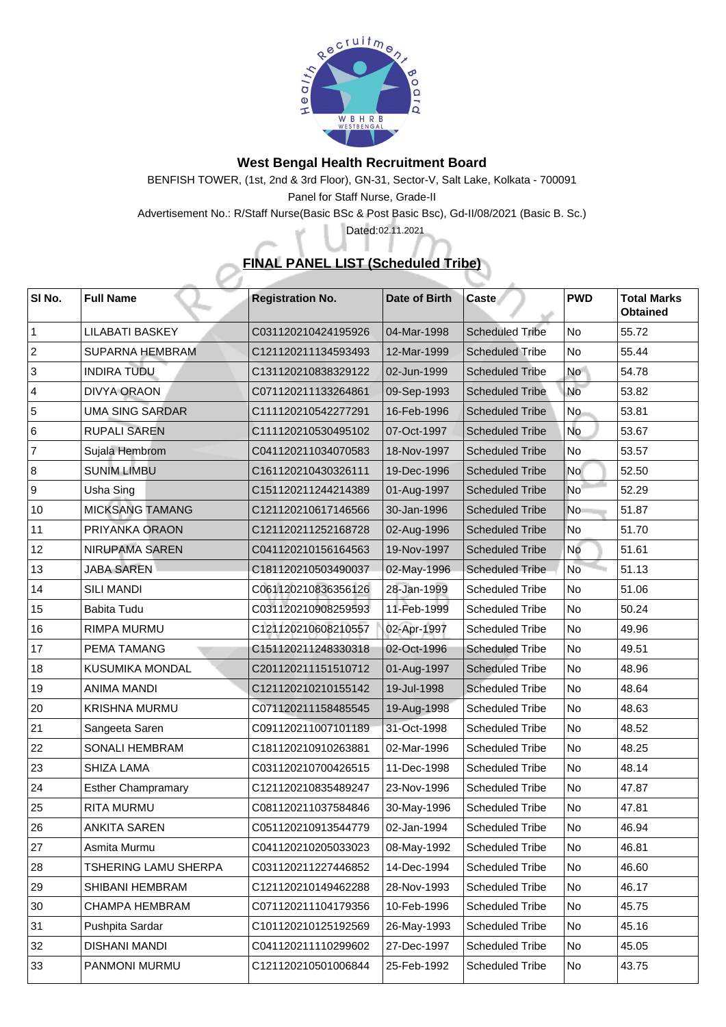

## **West Bengal Health Recruitment Board**

BENFISH TOWER, (1st, 2nd & 3rd Floor), GN-31, Sector-V, Salt Lake, Kolkata - 700091 Panel for Staff Nurse, Grade-II

Advertisement No.: R/Staff Nurse(Basic BSc & Post Basic Bsc), Gd-II/08/2021 (Basic B. Sc.)

## **FINAL PANEL LIST (Scheduled Tribe)**

Dated: 02.11.2021

 $\Delta \vec{b}$ 

| SI No.         | <b>Full Name</b>          | <b>Registration No.</b> | <b>Date of Birth</b> | <b>Caste</b>           | <b>PWD</b>      | <b>Total Marks</b><br><b>Obtained</b> |
|----------------|---------------------------|-------------------------|----------------------|------------------------|-----------------|---------------------------------------|
|                | <b>LILABATI BASKEY</b>    | C031120210424195926     | 04-Mar-1998          | <b>Scheduled Tribe</b> | No              | 55.72                                 |
| 2              | <b>SUPARNA HEMBRAM</b>    | C121120211134593493     | 12-Mar-1999          | <b>Scheduled Tribe</b> | No              | 55.44                                 |
| 3              | <b>INDIRA TUDU</b>        | C131120210838329122     | 02-Jun-1999          | <b>Scheduled Tribe</b> | <b>No</b>       | 54.78                                 |
| $\overline{4}$ | <b>DIVYA ORAON</b>        | C071120211133264861     | 09-Sep-1993          | <b>Scheduled Tribe</b> | No              | 53.82                                 |
| 5              | <b>UMA SING SARDAR</b>    | C111120210542277291     | 16-Feb-1996          | <b>Scheduled Tribe</b> | No              | 53.81                                 |
| 6              | <b>RUPALI SAREN</b>       | C111120210530495102     | 07-Oct-1997          | Scheduled Tribe        | <b>No</b>       | 53.67                                 |
| $\overline{7}$ | Sujala Hembrom            | C041120211034070583     | 18-Nov-1997          | <b>Scheduled Tribe</b> | No              | 53.57                                 |
| 8              | <b>SUNIM LIMBU</b>        | C161120210430326111     | 19-Dec-1996          | <b>Scheduled Tribe</b> | <b>No</b>       | 52.50                                 |
| <u>g</u>       | <b>Usha Sing</b>          | C151120211244214389     | 01-Aug-1997          | <b>Scheduled Tribe</b> | No <sup>-</sup> | 52.29                                 |
| 10             | <b>MICKSANG TAMANG</b>    | C121120210617146566     | 30-Jan-1996          | <b>Scheduled Tribe</b> | N <sub>o</sub>  | 51.87                                 |
| 11             | PRIYANKA ORAON            | C121120211252168728     | 02-Aug-1996          | <b>Scheduled Tribe</b> | No              | 51.70                                 |
| 12             | <b>NIRUPAMA SAREN</b>     | C041120210156164563     | 19-Nov-1997          | <b>Scheduled Tribe</b> | No              | 51.61                                 |
| 13             | <b>JABA SAREN</b>         | C181120210503490037     | 02-May-1996          | <b>Scheduled Tribe</b> | <b>No</b>       | 51.13                                 |
| 14             | <b>SILI MANDI</b>         | C061120210836356126     | 28-Jan-1999          | <b>Scheduled Tribe</b> | No              | 51.06                                 |
| 15             | <b>Babita Tudu</b>        | C031120210908259593     | 11-Feb-1999          | <b>Scheduled Tribe</b> | No              | 50.24                                 |
| 16             | <b>RIMPA MURMU</b>        | C121120210608210557     | 02-Apr-1997          | <b>Scheduled Tribe</b> | N <sub>o</sub>  | 49.96                                 |
| 17             | <b>PEMA TAMANG</b>        | C151120211248330318     | 02-Oct-1996          | <b>Scheduled Tribe</b> | No              | 49.51                                 |
| 18             | <b>KUSUMIKA MONDAL</b>    | C201120211151510712     | 01-Aug-1997          | <b>Scheduled Tribe</b> | No              | 48.96                                 |
| 19             | <b>ANIMA MANDI</b>        | C121120210210155142     | 19-Jul-1998          | <b>Scheduled Tribe</b> | No              | 48.64                                 |
| 20             | <b>KRISHNA MURMU</b>      | C071120211158485545     | 19-Aug-1998          | <b>Scheduled Tribe</b> | No              | 48.63                                 |
| 21             | Sangeeta Saren            | C091120211007101189     | 31-Oct-1998          | <b>Scheduled Tribe</b> | No              | 48.52                                 |
| 22             | <b>SONALI HEMBRAM</b>     | C181120210910263881     | 02-Mar-1996          | <b>Scheduled Tribe</b> | No              | 48.25                                 |
| 23             | <b>SHIZA LAMA</b>         | C031120210700426515     | 11-Dec-1998          | <b>Scheduled Tribe</b> | N <sub>o</sub>  | 48.14                                 |
| 24             | <b>Esther Champramary</b> | C121120210835489247     | 23-Nov-1996          | <b>Scheduled Tribe</b> | N <sub>o</sub>  | 47.87                                 |
| 25             | <b>RITA MURMU</b>         | C081120211037584846     | 30-May-1996          | <b>Scheduled Tribe</b> | No              | 47.81                                 |
| 26             | <b>ANKITA SAREN</b>       | C051120210913544779     | 02-Jan-1994          | <b>Scheduled Tribe</b> | <b>No</b>       | 46.94                                 |
| 27             | Asmita Murmu              | C041120210205033023     | 08-May-1992          | <b>Scheduled Tribe</b> | No              | 46.81                                 |
| 28             | TSHERING LAMU SHERPA      | C031120211227446852     | 14-Dec-1994          | <b>Scheduled Tribe</b> | No              | 46.60                                 |
| 29             | <b>SHIBANI HEMBRAM</b>    | C121120210149462288     | 28-Nov-1993          | <b>Scheduled Tribe</b> | No              | 46.17                                 |
| 30             | <b>CHAMPA HEMBRAM</b>     | C071120211104179356     | 10-Feb-1996          | <b>Scheduled Tribe</b> | No              | 45.75                                 |
| 31             | <b>Pushpita Sardar</b>    | C101120210125192569     | 26-May-1993          | <b>Scheduled Tribe</b> | No              | 45.16                                 |
| 32             | <b>DISHANI MANDI</b>      | C041120211110299602     | 27-Dec-1997          | <b>Scheduled Tribe</b> | No              | 45.05                                 |
| 33             | <b>PANMONI MURMU</b>      | C121120210501006844     | 25-Feb-1992          | <b>Scheduled Tribe</b> | No              | 43.75                                 |